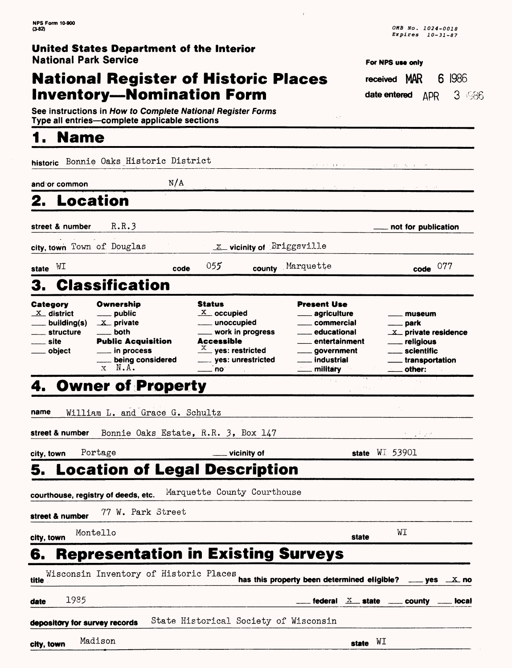## **National Register of Historic Places Inventory—Nomination Form**

| For NPS use only |  |  |
|------------------|--|--|

h.

 $\sim 10^4$ 

received MAR 6 1986 date entered  $\Delta$ pR 3  $\pm$  366

See instructions in How to Complete National Register Forms Type all entries—complete applicable sections\_\_\_\_\_\_\_\_\_\_\_\_\_\_\_

# **1. Name\_\_\_\_\_\_\_\_\_\_\_\_\_\_\_\_\_**

**historic** Bonnie Oaks Historic District

and or common  $N/A$ 

## **2. Location**

**street & number R.R.3 not for publication**

 $\bar{t}$ 

**city, town** Town of Douglas **ILL 2** vicinity of **Briggsville** 

**state** WI **code** 05? **county** ,Marquette **code** <sup>077</sup>

# **3. Classification**

| Category               | Ownership                                   | <b>Status</b>                  | <b>Present Use</b>       |                                |
|------------------------|---------------------------------------------|--------------------------------|--------------------------|--------------------------------|
| $X$ district           | <u>_</u> ___ public                         | $X_{\text{}}$ occupied         | <u>__</u> __ agriculture | <u>__</u> __ museum            |
| ____ building(s)       | $X$ private                                 | ____ unoccupied                | <u>__</u> __ commercial  | <u>__</u> __ park              |
| <u>__</u> __ structure | ___ both                                    | ____ work in progress          | _____ educational        | $\mathbf{X}$ private residence |
| $\frac{1}{2}$ site     | <b>Public Acquisition</b>                   | <b>Accessible</b>              | ___ entertainment        | ___ religious                  |
| . obiect               | $\equiv$ in process                         | $\frac{X}{1}$ yes: restricted  | <u>__</u> __ government  | <u>__</u> __ scientific        |
|                        | <b>Example in property</b> being considered | ____ yes: unrestricted         | __ industrial            | ____ transportation            |
|                        | N.A.                                        | $\frac{1}{2}$ no $\frac{1}{2}$ | <u>__</u> _ military     | ___ other:                     |

## **4. Owner of Property**

| name            |                                     | William L. and Grace G. Schultz                                                                                          |       |                  |                                              |
|-----------------|-------------------------------------|--------------------------------------------------------------------------------------------------------------------------|-------|------------------|----------------------------------------------|
|                 |                                     | street & number Bonnie Oaks Estate, R.R. 3, Box 147                                                                      |       |                  | 나는 일이 없어.                                    |
| city, town      | Portage                             | <u>_</u> ___ vicinity of                                                                                                 |       | state $WL$ 53901 |                                              |
|                 |                                     | <b>5. Location of Legal Description</b>                                                                                  |       |                  |                                              |
|                 | courthouse, registry of deeds, etc. | Marquette County Courthouse                                                                                              |       |                  |                                              |
| street & number |                                     | 77 W. Park Street                                                                                                        |       |                  |                                              |
| city, town      | Montello                            |                                                                                                                          | state |                  | WI                                           |
|                 |                                     | <b>6. Representation in Existing Surveys</b>                                                                             |       |                  |                                              |
| title           |                                     | Wisconsin Inventory of Historic Places<br>has this property been determined eligible? $\frac{1}{2}$ yes $\frac{1}{2}$ no |       |                  |                                              |
| 1985<br>date    |                                     |                                                                                                                          |       |                  | federal $X$ state $\sim$ county $\sim$ local |
|                 | depository for survey records       | State Historical Society of Wisconsin                                                                                    |       |                  |                                              |
| city, town      | Madison                             |                                                                                                                          | state | WI               |                                              |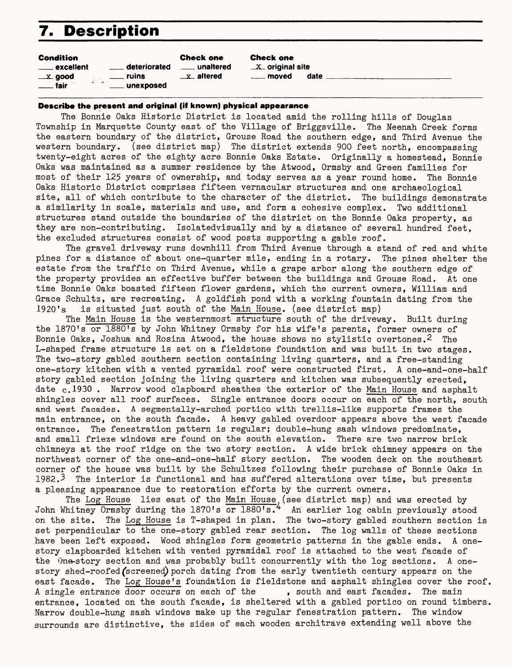## **7. Description**

| <b>Condition</b>       |                    | <b>Check one</b>       |
|------------------------|--------------------|------------------------|
| <u>__</u> __ excellent | deteriorated       | <u>__</u> __ unaltered |
| $\equiv$ $\bf{x}$ good | ruins              | x altered              |
| fair                   | デジョット<br>unexposed |                        |

Check one  $X$  original site moved date

#### **Describe the present and original (iff known) physical appearance**

The Bonnie Oaks Historic District is located amid the rolling hills of Douglas Township in Marquette County east of the Village of Briggsville. The Neenah Creek forms the eastern boundary of the district, Grouse Road the southern edge, and Third Avenue the western boundary, (see district map) The district extends 900 feet north, encompassing twenty-eight acres of the eighty acre Bonnie Oaks Estate. Originally a homestead, Bonnie Oaks was maintained as a summer residence by the Atwood, Ormsby and Green families for most of their 125 years of ownership, and today serves as a year round home. The Bonnie Oaks Historic District comprises fifteen vernacular structures and one archaeological site, all of which contribute to the character of the district. The buildings demonstrate a similarity in scale, materials and use, and form a cohesive complex. Two additional structures stand outside the boundaries of the district on the Bonnie Oaks property, as they are non-contributing. Isolatedvisually and by a distance of several hundred feet, the excluded structures consist of wood posts supporting a gable roof.

The gravel driveway runs downhill from Third Avenue through a stand of red and white pines for a distance of about one-quarter mile, ending in a rotary. The pines shelter the estate from the traffic on Third Avenue, while a grape arbor along the southern edge of the property provides an effective buffer between the buildings and Grouse Road. At one time Bonnie Oaks boasted fifteen flower gardens, which the current owners, William and Grace Schultz, are recreating. A goldfish pond with a working fountain dating from the 1920's is situated just south of the Main House. (see district map)

The Main House is the westernmost structure south of the driveway. Built during the 1870's or 1880's by John Whitney Ormsby for his wife's parents, former owners of Bonnie Oaks, Joshua and Rosina Atwood, the house shows no stylistic overtones.<sup>2</sup> The L-shaped frame structure is set on a fieldstone foundation and was built in two stages. The two-story gabled southern section containing living quarters, and a free-standing one-story kitchen with a vented pyramidal roof were constructed first. A one-and-one-half story gabled section joining the living quarters and kitchen was subsequently erected, date c.1930 . Narrow wood clapboard sheathes the exterior of the Main House and asphalt shingles cover all roof surfaces. Single entrance doors occur on each of the north, south and west facades. A segmentally-arched portico with trellis-like supports frames the main entrance, on the south facade. A heavy gabled overdoor appears above the west facade entrance. The fenestration pattern is regular; double-hung sash windows predominate, and small frieze windows are found on the south elevation. There are two narrow brick chimneys at the roof ridge on the two story section. A wide brick chimney appears on the northwest corner of the one-and-one-half story section. The wooden deck on the southeast corner of the house was built by the Schultzes following their purchase of Bonnie Oaks in 1982.<sup>3</sup> The interior is functional and has suffered alterations over time, but presents a pleasing appearance due to restoration efforts by the current owners.

The Log House lies east of the <u>Main House</u> (see district map) and was erected by John Whitney Ormsby during the 1870's or 1880's." An earlier log cabin previously stood on the site. The Log House is T-shaped in plan. The two-story gabled southern section is set perpendicular to the one-story gabled rear section. The log walls of these sections have been left exposed. Wood shingles form geometric patterns in the gable ends. A onestory elapboarded kitchen with vented pyramidal roof is attached to the west facade of the One-story section and was probably built concurrently with the log sections. A onestory shed-roofed (screened) porch dating from the early twentieth century appears on the east facade. The Log House's foundation is fieldstone and asphalt shingles cover the roof.<br>A single entrance door occurs on each of the , south and east facades. The main A single entrance door occurs on each of the entrance, located on the south facade, is sheltered with a gabled portico on round timbers, Narrow double-hung sash windows make up the regular fenestration pattern. The window surrounds are distinctive, the sides of each wooden architrave extending well above the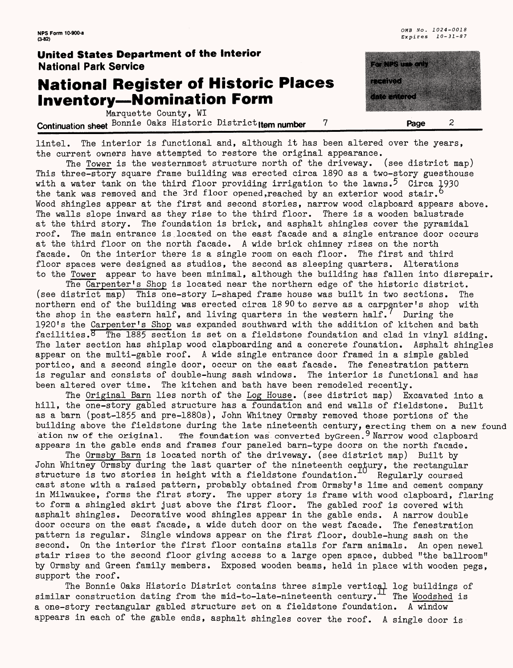## **National Register of Historic Places Inventory—Nomination Form**

Marquette County, WI **Continuation sheet** Bonnie Oaks Historic District tem number 7 **Page** 



lintel. The interior is functional and, although it has been altered over the years, the current owners have attempted to restore the original appearance.

The Tower is the westernmost structure north of the driveway. (see district map) This three-story square frame building was erected circa 1890 as a two-story guesthouse with a water tank on the third floor providing irrigation to the lawns.<sup>5</sup> Circa 1930 the tank was removed and the 3rd floor opened, reached by an exterior wood stair. Wood shingles appear at the first and second stories, narrow wood clapboard appears above. The walls slope inward as they rise to the third floor. There is a wooden balustrade at the third story. The foundation is brick, and asphalt shingles cover the pyramidal roof. The main entrance is.located on the east facade and a single entrance door occurs at the third floor on the north facade. A wide brick chimney rises on the north facade. On the interior there is a single room on each floor. The first and third floor spaces were designed as studios, the second as sleeping quarters. Alterations to the Tower appear to have been minimal, although the building has fallen into disrepair.

The Carpenter's Shop is located near the northern edge of the historic district, (see district map) This one-story L-shaped frame house was built in two sections. The northern end of the building was erected circa 18 90 to serve as a carpenter's shop with the shop in the eastern half, and living quarters in the western half.  $\ell$  During the 1920's the Carpenter's Shop was expanded southward with the addition of kitchen and bath facilities. $\overline{8}$  The 1885 section is set on a fieldstone foundation and clad in vinyl siding. The later section has shiplap wood clapboarding and a concrete founation. Asphalt shingles appear on the multi-gable roof. A wide single entrance door framed in a simple gabled portico, and a second single door, occur on the east facade. The fenestration pattern is regular and consists of double-hung sash windows. The interior is functional and has been altered over time. The kitchen and bath have been remodeled recently.

The Original Barn lies north of the Log House, (see district map) Excavated into a hill, the one-story gabled structure has a foundation and end walls of fieldstone. Built as a barn (post-1855 and pre-1880s), John Whitney Ormsby removed those portions of the building above the fieldstone during the late nineteenth century, erecting them on a new found ation nw of the original. The foundation was converted byGreen.<sup>9</sup> Narrow wood clapboard appears in the gable ends and frames four paneled barn-type doors on the north facade.

The Ormsby Barn is located north of the driveway, (see district map) Built by John Whitney Ormsby during the last quarter of the nineteenth century, the rectangular structure is two stories in height with a fieldstone foundation.  $\sim$  Regularly coursed cast stone with a raised pattern, probably obtained from Ormsby's lime and cement company in Milwaukee, forms the first story. The upper story is frame with wood clapboard, flaring to form a shingled skirt just above the first floor. The gabled roof is covered with asphalt shingles. Decorative wood shingles appear in the gable ends. A narrow double door occurs on the east facade, a wide dutch door on the west facade. The fenestration pattern is regular. Single windows appear on the first floor, double-hung sash on the second. On the interior the first floor contains stalls for farm animals. An open newel stair rises to the second floor giving access to a large open space, dubbed "the ballroom" by Ormsby and Green family members. Exposed wooden beams, held in place with wooden pegs, support the roof.

The Bonnie Oaks Historic District contains three simple vertical log buildings of similar construction dating from the mid-to-late-nineteenth century. The Woodshed is a one-story rectangular gabled structure set on a fieldstone foundation. A window appears in each of the gable ends, asphalt shingles cover the roof. A single door is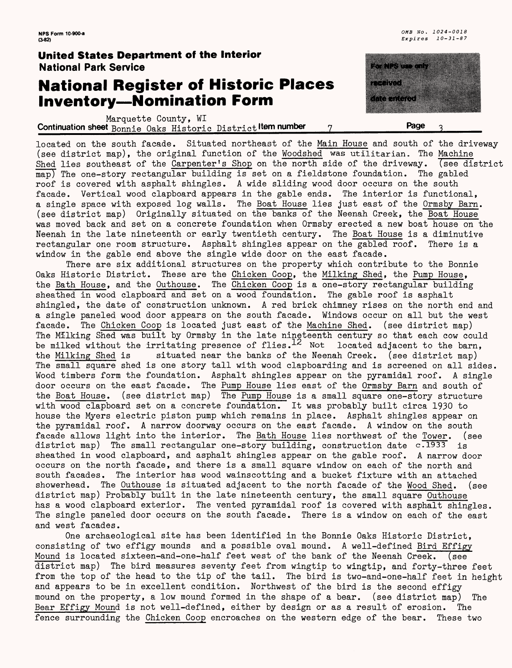### **National Register of Historic Places Inventory — Nomination Form**

Marquette County, WI **Continuation sheet** Bonnie Oaks Historic District **Item number** 7

located on the south facade. Situated northeast of the Main House and south of the driveway (see district map), the original function of the Woodshed was utilitarian. The Machine Shed lies southeast of the Carpenter's Shop on the north side of the driveway. (see district map) The one-story rectangular building is set on a fieldstone foundation. The gabled roof is covered with asphalt shingles. A wide sliding wood door occurs on the south facade. Vertical wood clapboard appears in the gable ends. The interior is functional, a single space with exposed log walls. The Boat House lies just east of the Ormsby Barn. (see district map) Originally situated on the banks of the Neenah Creek, the Boat House was moved back and set on a concrete foundation when Ormsby erected a new boat house on the Neenah in the late nineteenth or early twentieth century. The Boat House is a diminutive rectangular one room structure. Asphalt shingles appear on the gabled roof. There is a window in the gable end above the single wide door on the east facade.

There are six additional structures on the property which contribute to the Bonnie Oaks Historic District. These are the Chicken Coop, the Milking Shed, the Pump House, the Bath House, and the Outhouse. The Chicken Coop is a one-story rectangular building sheathed in wood clapboard and set on a wood foundation. The gable roof is asphalt shingled, the date of construction unknown. A red brick chimney rises on the north end and a single paneled wood door appears on the south facade. Windows occur on all but the west facade. The Chicken Coop is located just east of the Machine Shed, (see district map) The Milking Shed was built by Ormsby in the late ningteenth century so that each cow could be milked without the irritating presence of flies.<sup>12</sup> Not located adjacent to the barn, the Milking Shed is situated near the banks of the Neenah Creek. (see district map) situated near the banks of the Neenah Creek. (see district map) The small square shed is one story tall with wood clapboarding and is screened on all sides. Wood timbers form the foundation. Asphalt shingles appear on the pyramidal roof. A single door occurs on the east facade. The Pump House lies east of the Ormsby Barn and south of the Boat House, (see district map) The Pump House is a small square one-story structure with wood clapboard set on a concrete foundation. It was probably built circa 1930 to house the Myers electric piston pump which remains in place. Asphalt shingles appear on the pyramidal roof. A narrow doorway occurs on the east facade. A window on the south facade allows light into the interior. The Bath House lies northwest of the Tower. (see district map) The small rectangular one-story building, construction date  $c.\overline{1933}$  is sheathed in wood clapboard, and asphalt shingles appear on the gable roof. A narrow door occurs on the north facade, and there is a small square window on each of the north and south facades. The interior has wood wainscotting and a bucket fixture with an attached showerhead. The Outhouse is situated adjacent to the north facade of the Wood Shed, (see district map) Probably built in the late nineteenth century, the small square Outhouse has a wood clapboard exterior. The vented pyramidal roof is covered with asphalt shingles. The single paneled door occurs on the south facade. There is a window on each of the east and west facades.

One archaeological site has been identified in the Bonnie Oaks Historic District, consisting of two effigy mounds and a possible oval mound. A well-defined Bird Effigy Mound is located sixteen-and-one-half feet west of the bank of the Neenah Creek. (see district map) The bird measures seventy feet from wingtip to wingtip, and forty-three feet from the top of the head to the tip of the tail. The bird is two-and-one-half feet in height and appears to be in excellent condition. Northwest of the bird is the second effigy mound on the property, a low mound formed in the shape of a bear. (see district map) The Bear Effigy Mound is not well-defined, either by design or as a result of erosion. The fence surrounding the Chicken Coop encroaches on the western edge of the bear. These two



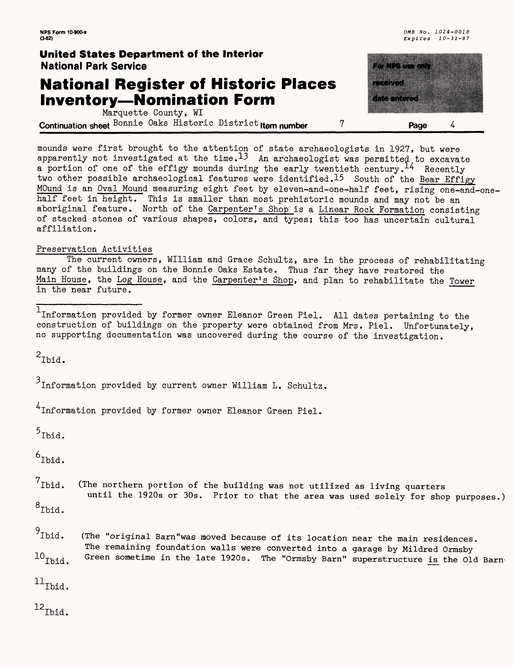### **National Register of Historic Places Inventory — Nomination Form**

<u>tana a</u> amarangan p a ang mga magaalaysin  $\frac{1}{2}$ 

Marquette County, WI **Continuation sheet Bonnie** Oaks Historic District **ltem number 7 Page**

mounds were first brought to the attention of state archaeologists in 1927, but were apparently not investigated at the time.  $13$  An archaeologist was permitted to excavate a portion of one of the effigy mounds during the early twentieth century.  $^{14}$  Recently two other possible archaeological features were identified.<sup>15</sup> South of the Bear Effigy MOund is an Oval Mound measuring eight feet by eleven-and-one-half feet, rising one-and-onehalf feet in height. This is smaller than most prehistoric mounds and may not be an aboriginal feature. North of the Carpenter's Shop is a Linear Rock Formation consisting of stacked stones of various shapes, colors, and types; this too has uncertain cultural affiliation.

#### Preservation Activities

The current owners, William and Grace Schultz, are in the process of rehabilitating many of the buildings on the Bonnie Oaks Estate. Thus far they have restored the Main House, the Log House, and the Carpenter's Shop, and plan to rehabilitate the Tower in the near future.

Information provided by former owner Eleanor Green Piel. All dates pertaining to the construction of buildings on the property were obtained from Mrs. Piel. Unfortunately, no supporting documentation was uncovered during the course of the investigation.

 $2$ Ibid.

 $3$ Information provided by current owner William L. Schultz.

Information provided by former owner Eleanor Green Piel.

 $5$ Ibid.

 $6$ Ibid.

n Ibid. (The northern portion of the building was not utilized as living quarters until the 1920s or 30s. Prior to that the area was used solely for shop purposes.)

 $8$ Ibid.

 $9$ Ibid.  $^{10}$  Tbid. (The "original Barn"was moved because of its location near the main residences. The remaining foundation walls were converted into a garage by Mildred Ormsby Green sometime in the late 1920s. The "Ormsby Barn" superstructure is the Old Barn-

 $^{11}$ Ibid.

 $^{12}$  Ibid.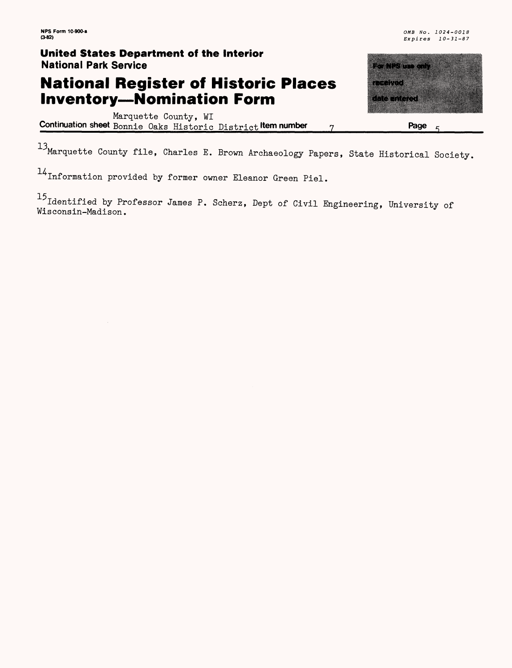## **National Register of Historic Places Inventory—Nomination Form**

Marquette County, WI **Continuation sheet** Bonnie Oaks Historic District **Kem number 7 Page**

<sup>13</sup>Marquette County file, Charles E. Brown Archaeology Papers, State Historical Society,

H Information provided by former owner Eleanor Green Piel.

<sup>15</sup> Identified by Professor James P. Scherz, Dept of Civil Engineering, University of Wisconsin-Madison.

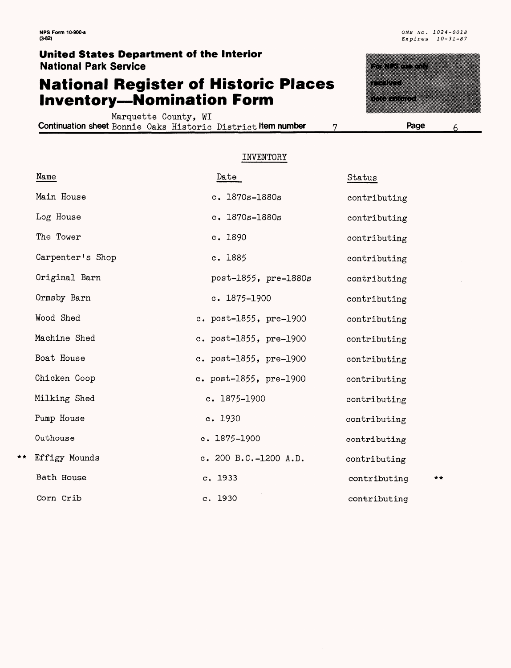### **National Register of Historic Places Inventory—Nomination Form**

Marquette County, WI **Continuation sheet** Bonnie Oaks Historic District **Item number 7**



**Page**

#### INVENTORY

|     | Name             | Date                        | Status       |    |
|-----|------------------|-----------------------------|--------------|----|
|     | Main House       | $c. 1870s - 1880s$          | contributing |    |
|     | Log House        | c. 1870s-1880s              | contributing |    |
|     | The Tower        | c. 1890                     | contributing |    |
|     | Carpenter's Shop | c. 1885                     | contributing |    |
|     | Original Barn    | post-1855, pre-1880s        | contributing |    |
|     | Ormsby Barn      | c. $1875 - 1900$            | contributing |    |
|     | Wood Shed        | c. post-1855, pre-1900      | contributing |    |
|     | Machine Shed     | c. $post-1855$ , $pre-1900$ | contributing |    |
|     | Boat House       | c. $post-1855$ , $pre-1900$ | contributing |    |
|     | Chicken Coop     | c. $post-1855$ , $pre-1900$ | contributing |    |
|     | Milking Shed     | $c. 1875 - 1900$            | contributing |    |
|     | Pump House       | c. 1930                     | contributing |    |
|     | Outhouse         | $c. 1875 - 1900$            | contributing |    |
| * * | Effigy Mounds    | c. 200 B.C.-1200 A.D.       | contributing |    |
|     | Bath House       | c. 1933                     | contributing | ** |
|     | Corn Crib        | c. 1930                     | contributing |    |

6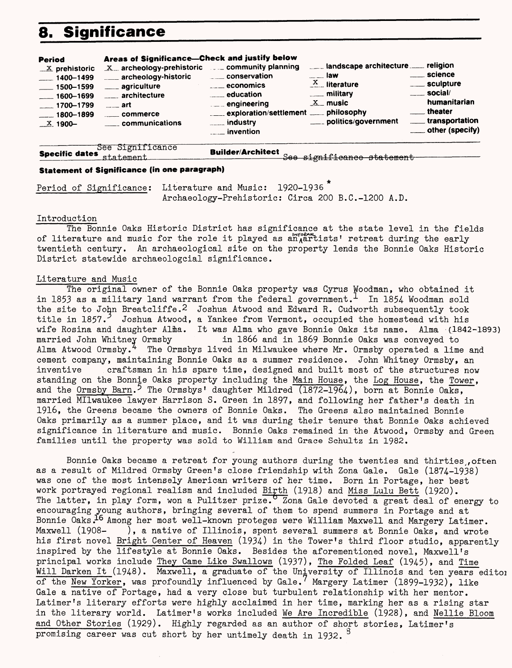## **8. Significance**

| $X$ archeology-prehistoric $\ldots$ community planning<br>$\mathbf{X}$ prehistoric<br>conservation<br>archeology-historic<br>$-1400 - 1499$<br>$\overline{\phantom{a}}$ economics<br>____ agriculture<br>$-1500 - 1599$<br>$\frac{1}{2}$ education<br>architecture<br>$\frac{1600 - 1699}{1600 - 1699}$<br>$\mathcal{L} = \mathcal{L}$ engineering<br>$-1700 - 1799$<br>$\frac{1}{2}$ art<br>exploration/settlement _____ philosophy<br>$-1800 - 1899$<br>communications<br>X 1900-<br><i>invention</i> | $\equiv$ law<br>$\frac{X}{1-x}$ literature<br>____ military<br>$X$ music<br>____ politics/government | . science<br>____ sculpture<br>$\equiv$ social/<br>humanitarian<br>theater<br>____ transportation<br>____ other (specify) |
|---------------------------------------------------------------------------------------------------------------------------------------------------------------------------------------------------------------------------------------------------------------------------------------------------------------------------------------------------------------------------------------------------------------------------------------------------------------------------------------------------------|------------------------------------------------------------------------------------------------------|---------------------------------------------------------------------------------------------------------------------------|
|---------------------------------------------------------------------------------------------------------------------------------------------------------------------------------------------------------------------------------------------------------------------------------------------------------------------------------------------------------------------------------------------------------------------------------------------------------------------------------------------------------|------------------------------------------------------------------------------------------------------|---------------------------------------------------------------------------------------------------------------------------|

*———————*See Significance **Specific dates** fl+.n+. ftmftn+. **Builder/Architect**

See significance statement

#### **Statement of Significance (in one paragraph)**

Period of Significance: Literature and Music: 1920-1936<sup>\*</sup> Archaeology-Prehistoric: Circa 200 B.C.-1200 A.D.

#### Introduction

The Bonnie Oaks Historic District has significance at the state level in the fields of literature and music for the role it played as an artists' retreat during the early twentieth century. An archaeological site on the property lends the Bonnie Oaks Historic District statewide archaeologcial significance.

#### Literature and Music

The original owner of the Bonnie Oaks property was Cyrus Woodman, who obtained it in 1853 as a military land warrant from the federal government. In 1854- Woodman sold the site to John Breatcliffe.2 Joshua.Atwood and Edward R. Cudworth subsequently took title in  $1857.^2$  Joshua Atwood, a Yankee from Vermont, occupied the homestead with his wife Rosina and daughter Alma. It was Alma who gave Bonnie Oaks its name. Alma (1842-1893)<br>married John Whitney Ormsby in 1866 and in 1869 Bonnie Oaks was conveyed to in 1866 and in 1869 Bonnie Oaks was conveyed to Alma Atwood Ormsby.<sup>4</sup> The Ormsbys lived in Milwaukee where Mr. Ormsby operated a lime and cement company, maintaining Bonnie Oaks as a summer residence. John Whitney Ormsby, an inventive craftsman in his spare time, designed and built most of the structures now standing on the Bonnie Oaks property including the Main House, the Log House, the Tower, and the Ormsby Barn.<sup>5</sup> The Ormsbys' daughter Mildred  $(1872-1964)$ , born at Bonnie Oaks, married MIlwaukee lawyer Harrison S. Green in 1897, and following her father's death in 1916, the Greens became the owners of Bonnie Oaks. The Greens also maintained Bonnie Oaks primarily as a summer place, and it was during their tenure that Bonnie Oaks achieved significance in literature and music. Bonnie Oaks remained in the Atwood, Ormsby and Green families until the property was sold to William and Grace Schultz in 1982.

Bonnie Oaks became a retreat for young authors during the twenties and thirties often as a result of Mildred Ormsby Green's close friendship with Zona Gale. Gale (1874-1938) was one of the most intensely American writers of her time. Born in Portage, her best work portrayed regional realism and included Birth (1918) and Miss Lulu Bett (1920). The latter, in play form, won a Pulitzer prize. Zona Gale devoted a great deal of energy to encouraging young authors, bringing several of them to spend summers in Portage and at Bonnie Oaks.<sup>16</sup> Among her most well-known proteges were William Maxwell and Margery Latimer. Maxwell (1908- ), a native of Illinois, spent several summers at Bonnie Oaks, and wrote his first novel Bright Center of Heaven (1934) in the Tower's third floor studio, apparently inspired by the lifestyle at Bonnie Oaks. Besides the aforementioned novel, Maxwell's principal works include They Came Like Swallows (1937), The Folded Leaf (1945), and Time Will Darken It (1948). Maxwell, a graduate of the University of Illinois and ten years editoi of the New Yorker, was profoundly influenced by Gale. Margery Latimer (1899-1932), like Gale a native of Portage, had a very close but turbulent relationship with her mentor. Latimer's literary efforts were highly acclaimed in her time, marking her as a rising star in the literary world. Latimer's works included We Are Incredible (1928), and Nellie Bloom and Other Stories (1929). Highly regarded as an author of short stories, Latimer's promising career was cut short by her untimely death in 1932.  $^3$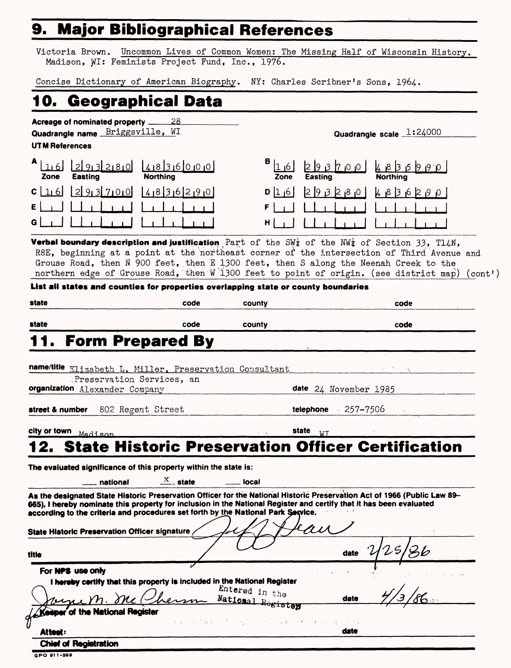## **9. Major Bibliographical References**

Victoria Brown. Uncommon Lives of Common Women; The Missing Half of Wisconsin History. Madison, WI: Feminists Project Fund, Inc., 1976.

Concise Dictionary of American Biography. NY: Charles Scribner's Sons, 1964.

## **10. Geographical Data**

**Acreage of nominated property \_\_\_\_\_2B\_ Quadrangle name Briggsville, WI** 

#### **UTM References**

| Zone | <b>Easting</b>                                       | <u>1010 018121910 01815 1010 010 0</u><br><b>Northing</b> |
|------|------------------------------------------------------|-----------------------------------------------------------|
|      |                                                      | $c$ [16] [2] 913 71010] [418 ] 316 [21910]                |
|      | $\epsilon$ and the latter than the latter $\epsilon$ |                                                           |
| G l  | $\Box$                                               |                                                           |

**Quadrangle scale 1:24000**

| ا180         | 41836000<br><b>Northing</b> | в<br>16 <sup>1</sup><br>Zone | 29870<br><b>Easting</b>    | $ qq $ $ qq $ $ qq $<br><b>Northing</b> |
|--------------|-----------------------------|------------------------------|----------------------------|-----------------------------------------|
| 10סן         | 0199516129                  | $ a 1 $ o                    | $ 0, 8 $ $ 0, 9 $ $ 0, 1 $ | 4836<br>$\Omega$<br>2.9                 |
| $\mathbf{1}$ |                             | FI                           |                            |                                         |
| $\mathbf{C}$ |                             | н                            |                            |                                         |

**Verbal boundary description and justification** Part of the SW<sub>4</sub> of the NW<sub>4</sub> of Section 33, T14N, R8E, beginning at a point at the northeast corner of the intersection of Third Avenue and Grouse Road, then N 900 feet, then E 1300 feet, then S along the Neenah Creek to the northern edge of Grouse Road, then W 1300 feet to point of origin. (see district map) (cont')

#### **List all states and counties for properties overlapping state or county boundaries**

| state                                                                                                                 | code | county             | code                                                                                                                                                                                                                                            |
|-----------------------------------------------------------------------------------------------------------------------|------|--------------------|-------------------------------------------------------------------------------------------------------------------------------------------------------------------------------------------------------------------------------------------------|
| state                                                                                                                 | code | county             | code                                                                                                                                                                                                                                            |
| 1. Form Prepared By                                                                                                   |      |                    |                                                                                                                                                                                                                                                 |
| name/title Elizabeth L. Miller, Preservation Consultant                                                               |      |                    |                                                                                                                                                                                                                                                 |
| Preservation Services, an<br>organization Alexander Company                                                           |      |                    | date 24 November 1985                                                                                                                                                                                                                           |
| 802 Regent Street<br>street & number                                                                                  |      |                    | telephone $257 - 7506$                                                                                                                                                                                                                          |
| city or town Madison                                                                                                  |      | <b>state</b> state | <b>WT</b>                                                                                                                                                                                                                                       |
|                                                                                                                       |      |                    | 12. State Historic Preservation Officer Certification                                                                                                                                                                                           |
| $\frac{X}{1}$ state<br>_ national<br>according to the criteria and procedures set forth by the National Park Service. |      | <u>_</u> ___ local | As the designated State Historic Preservation Officer for the National Historic Preservation Act of 1966 (Public Law 89-<br>665), I hereby nominate this property for inclusion in the National Register and certify that it has been evaluated |
| State Historic Preservation Officer signature                                                                         |      |                    |                                                                                                                                                                                                                                                 |
| title                                                                                                                 |      |                    | date $2/25$                                                                                                                                                                                                                                     |
| For NPS use only                                                                                                      |      |                    |                                                                                                                                                                                                                                                 |
| I hereby certify that this property is included in the National Register<br>vene M. Me Chemm National Registor        |      | Entered in the     | date                                                                                                                                                                                                                                            |
| A Keeper of the National Register                                                                                     |      |                    | 人名英格兰姓氏麦克里奇的变体 医牙骨的 医单核 医神经神经的 电子电动                                                                                                                                                                                                             |
| Attest:                                                                                                               |      |                    | date                                                                                                                                                                                                                                            |
| <b>Chief of Registration</b>                                                                                          |      |                    |                                                                                                                                                                                                                                                 |

**GPO 91 1-39B**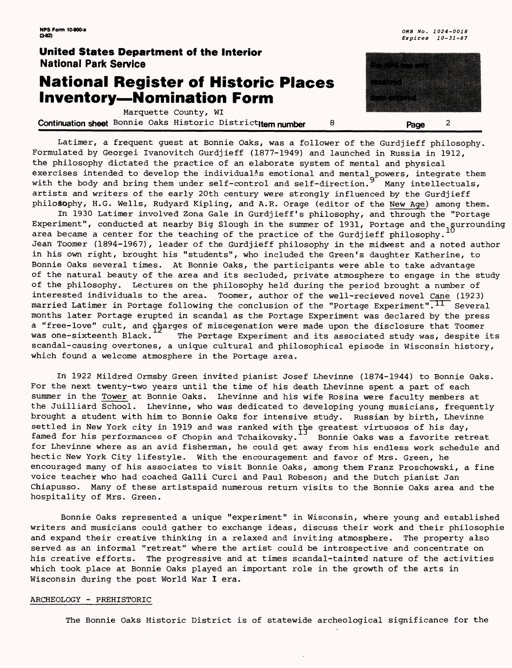### **National Register of Historic Places Inventory—Nomination Form**

Marquette County, WI

**Continuation sheet** Bonnie Oaks Historic District**Item number 8 8** Page 2

Latimer, a frequent guest at Bonnie Oaks, was a follower of the Gurdjieff philosophy. Formulated by Georgei Ivanovitch Gurdjieff (1877-1949) and launched in Russia in 1912, the philosophy dictated the practice of an elaborate system of mental and physical exercises intended to develop the individualss emotional and mental powers, integrate them with the body and bring them under  $\texttt{self-control}$  and  $\texttt{self-direction.}^3$  Many intellectuals, artists and writers of the early 20th century were strongly influenced by the Gurdjieff philosophy, H.G. Wells, Rudyard Kipling, and A.R. Orage (editor of the New Age) among them.

In 1930 Latimer involved Zona Gale in Gurdjieff's philosophy, and through the "Portage Experiment", conducted at nearby Big Slough in the summer of 1931, Portage and the gurrounding area became a center for the teaching of the practice of the Gurdjieff philosophy. Jean Toomer (1894-1967), leader of the Gurdjieff philosophy in the midwest and a noted author in his own right, brought his "students", who included the Green's daughter Katherine, to Bonnie Oaks several times. At Bonnie Oaks, the participants were able to take advantage of the natural beauty of the area and its secluded, private atmosphere to engage in the study of the philosophy. Lectures on the philosophy held during the period brought a number of interested individuals to the area. Toomer, author of the well-recieved novel Cane (1923) married Latimer in Portage following the conclusion of the "Portage Experiment".<sup>11</sup> Several months later Portage erupted in scandal as the Portage Experiment was declared by the press a "free-love" cult, and charges of miscegenation were made upon the disclosure that Toomer was one-sixteenth Black.<sup>14</sup> The Portage Experiment and its associated study was, despite its scandal-causing overtones, a unique cultural and philosophical episode in Wisconsin history, which found a welcome atmosphere in the Portage area.

In 1922 Mildred Ormsby Green invited pianist Josef Lhevinne (1874-1944) to Bonnie Oaks. For the next twenty-two years until the time of his death Lhevinne spent a part of each summer in the Tower at Bonnie Oaks. Lhevinne and his wife Rosina were faculty members at the Juilliard School. Lhevinne, who was dedicated to developing young musicians, frequently brought a student with him to Bonnie Oaks for intensive study. Russian by birth, Lhevinne settled in New York city in 1919 and was ranked with the greatest virtuosos of his day, famed for his performances of Chopin and Tchaikovsky.<sup>13</sup> Bonnie Oaks was a favorite retreat for Lhevinne where as an avid fisherman, he could get away from his endless work schedule and hectic New York City lifestyle. With the encouragement and favor of Mrs. Green, he encouraged many of his associates to visit Bonnie Oaks, among them Franz Proschowski, a fine voice teacher who had coached Galli Curci and Paul Robeson; and the Dutch pianist Jan Chiapusso. Many of these artistspaid numerous return visits to the Bonnie Oaks area and the hospitality of Mrs. Green.

Bonnie Oaks represented a unique "experiment" in Wisconsin, where young and established writers and musicians could gather to exchange ideas, discuss their work and their philosophic and expand their creative thinking in a relaxed and inviting atmosphere. The property also served as an informal "retreat" where the artist could be introspective and concentrate on his creative efforts. The progressive and at times scandal-tainted nature of the activities which took place at Bonnie Oaks played an important role in the growth of the arts in Wisconsin during the post World War I era.

#### ARCHEOLOGY - PREHISTORIC

The Bonnie Oaks Historic District is of statewide archeological significance for the

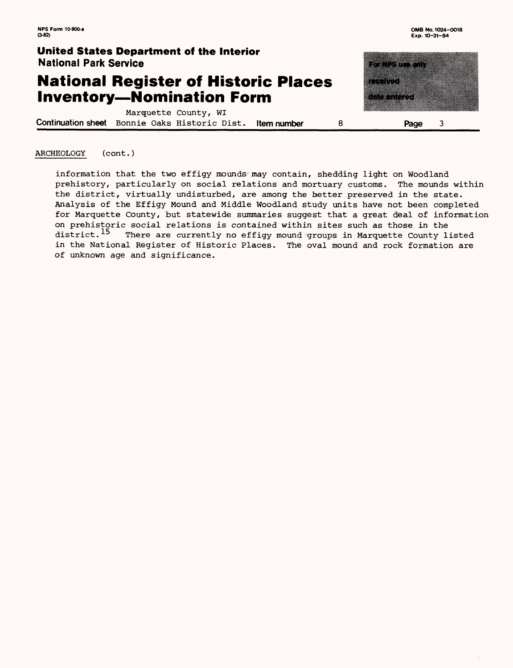<u>teraturan di sebagai di sebagai di sebagai di sebagai di sebagai di sebagai di sebagai di sebagai di sebagai </u>

ana ang

a di sebagai

### **United States Department of the Interior National Park Service**

### **National Register of Historic Places Inventory—Nomination Form**

Marquette County, WI **Continuation sheet** Bonnie Oaks Historic Dist. **Item number Page**  $\overline{3}$ 

#### ARCHEOLOGY (cont.)

information that the two effigy moundsamay contain, shedding light on Woodland prehistory, particularly on social relations and mortuary customs. The mounds within the district, virtually undisturbed, are among the better preserved in the state. Analysis of the Effigy Mound and Middle Woodland study units have not been completed for Marquette County, but statewide summaries suggest that a great deal of information on prehistoric social relations is contained within sites such as those in the district.<sup>15</sup> There are currently no effigy mound groups in Marquette County 1 There are currently no effigy mound groups in Marquette County listed in the National Register of Historic Places. The oval mound and rock formation are of unknown age and significance.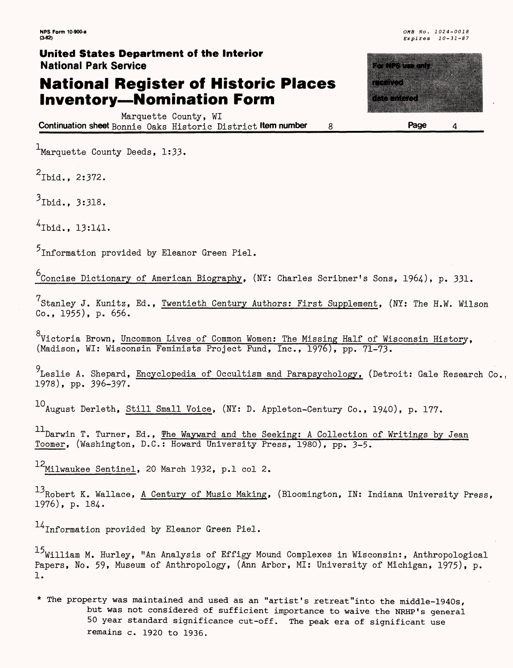### **National Register of Historic Places Inventory—Nomination Form**

Marquette County, WI **Continuation sheet** Bonnie Oaks Historic District **Item number 8**

<sup>1</sup>Marquette County Deeds, 1:33.

 $2$ Thid., 2:372.

 $3_{\text{Ibid.}}$ , 3:318.

 $^{4}$ Ibid., 13:141.

 $5$ Information provided by Eleanor Green Piel.

 $^6$ Concise Dictionary of American Biography, (NY: Charles Scribner's Sons, 1964), p. 331.

<sup>7</sup>Stanley J. Kunitz, Ed., <u>Twentieth Century Authors: First Supplement</u>, (NY: The H.W. Wilson Co., 1955), p. 656.

。<br>Victoria Brown, Uncommon Lives of Common Women: The Missing Half of Wisconsin History, (Madison, WI: Wisconsin Feminists Project Fund, Inc., 1976), pp. 71-73.

<sup>y</sup> Leslie A. Shepard, <u>Encyclopedia of Occultism and Parapsychology,</u> (Detroit: Gale Research Co., 1978), pp. 396-397.

10 August Derleth, Still Small Voice, (NY: D. Appleton-Century Co., 1940), p. 177.

11 Darwin T. Turner, Ed., The Wayward and the Seeking: A Collection of Writings by Jean Toomer, (Washington, D.C.: Howard University Press, 1980), pp. 3-5.

 $12$ Milwaukee Sentinel, 20 March 1932, p.1 col 2.

 $^{13}$ Robert K. Wallace, A Century of Music Making, (Bloomington, IN: Indiana University Press, 1976), p. 184.

 $14$ Information provided by Eleanor Green Piel.

 $15$ William M. Hurley, "An Analysis of Effigy Mound Complexes in Wisconsin:, Anthropological Papers, No. 59, Museum of Anthropology, (Ann Arbor, MI: University of Michigan, 1975), p. 1.

\* The property was maintained and used as an "artist's retreat"into the middle-1940s, but was not considered of sufficient importance to waive the NRHP's general 50 year standard significance cut-off. The peak era of significant use remains c. 1920 to 1936.

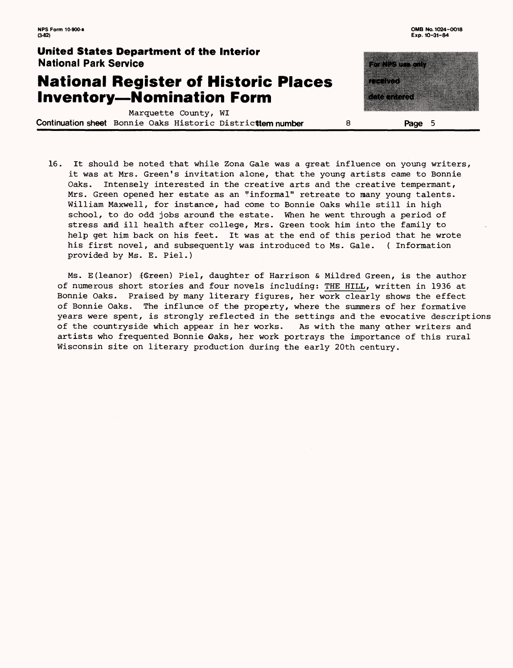### **National Register of Historic Places Inventory—Nomination Form**

Marquette County, WI **Continuation sheet** Bonnie Oaks Historic Distridttem **number Page 5**

| ٠ | 28<br>83. J<br>29 | 8 |  |
|---|-------------------|---|--|
|   |                   |   |  |
|   |                   |   |  |
| ♦ | 83                |   |  |
|   |                   |   |  |
|   | a kacamatan       |   |  |
|   |                   |   |  |
|   |                   |   |  |
|   |                   |   |  |
|   |                   |   |  |

16. It should be noted that while Zona Gale was a great influence on young writers, it was at Mrs. Green's invitation alone, that the young artists came to Bonnie Oaks. Intensely interested in the creative arts and the creative tempermant, Mrs. Green opened her estate as an "informal" retreate to many young talents. William Maxwell, for instance, had come to Bonnie Oaks while still in high school, to do odd jobs around the estate. When he went through a period of stress and ill health after college, Mrs. Green took him into the family to help get him back on his feet. It was at the end of this period that he wrote his first novel, and subsequently was introduced to Ms. Gale. ( Information provided by Ms. E. Piel.)

Ms. E(leanor) {Green) Piel, daughter of Harrison & Mildred Green, is the author of numerous short stories and four novels including: THE HILL, written in 1936 at Bonnie Oaks. Praised by many literary figures, her work clearly shows the effect of Bonnie Oaks. The influnce of the property, where the summers of her formative years were spent, is strongly reflected in the settings and the evocative descriptions of the countryside which appear in her works. As with the many other writers and artists who frequented Bonnie Oaks, her work portrays the importance of this rural Wisconsin site on literary production during the early 20th century.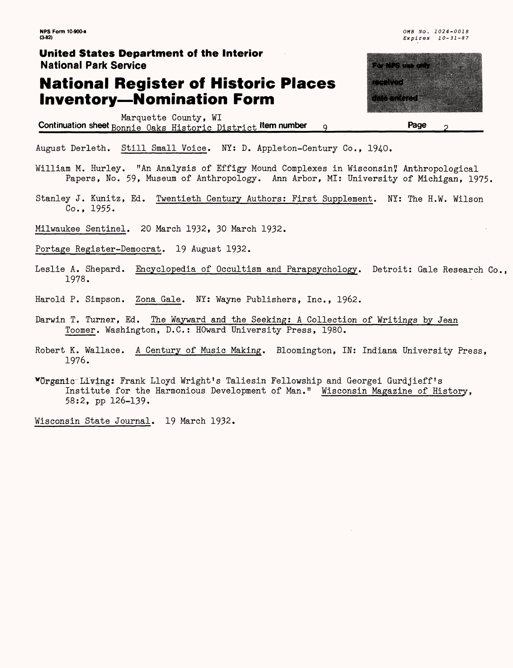## **National Register of Historic Places Inventory—Nomination Form**

Marquette County, WI Continuation sheet **Bonnie Oaks Historic District** Item number q a kuwa wa KAKAT P rational **Page**

August Derleth. Still Small Voice. NY: D. Appleton-Century Co., 1940.

William M. Hurley. "An Analysis of Effigy Mound Complexes in Wisconsin", Anthropological Papers, No. 59, Museum of Anthropology. Ann Arbor, MI: University of Michigan, 1975.

Stanley J. Kunitz, Ed. Twentieth Century Authors: First Supplement. NY: The H.W. Wilson Co., 1955.

Milwaukee Sentinel. 20 March 1932, 30 March 1932.

Portage Register-Democrat. 19 August 1932.

- Leslie A. Shepard. Encyclopedia of Occultism and Parapsychology. Detroit: Gale Research Co., 1978.
- Harold P. Simpson. Zona Gale. NY: Wayne Publishers, Inc., 1962.
- Darwin T. Turner, Ed. The Wayward and the Seeking; A Collection of Writings by Jean Toomer. Washington, D.C.: HOward University Press, 1980.
- Robert K. Wallace. A Century of Music Making. Bloomington, IN: Indiana University Press, 1976.

^Organic:Livings Frank Lloyd Wright's Taliesin Fellowship and Georgei Gurdjieff ! s Institute for the Harmonious Development of Man." Wisconsin Magazine of History, 58:2, pp 126-139.

Wisconsin State Journal. 19 March 1932.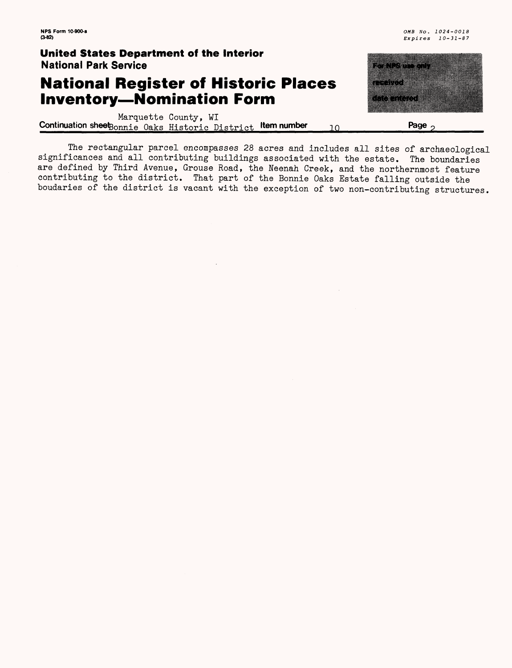### **National Register of Historic Places Inventory—Nomination Form**

<u>matu ma</u> a a shekara ka kuni

Marquette County, WI **Continuation sheet** Bonnie Oaks Historic District **Item number** 10 **Page**<sub>2</sub>

The rectangular parcel encompasses 28 acres and includes all sites of archaeological significances and all contributing buildings associated with the estate. The boundaries are defined by Third Avenue, Grouse Road, the Neenah Creek, and the northernmost feature contributing to the district. That part of the Bonnie Oaks Estate falling outside the boudaries of the district is vacant with the exception of two non-contributing structures.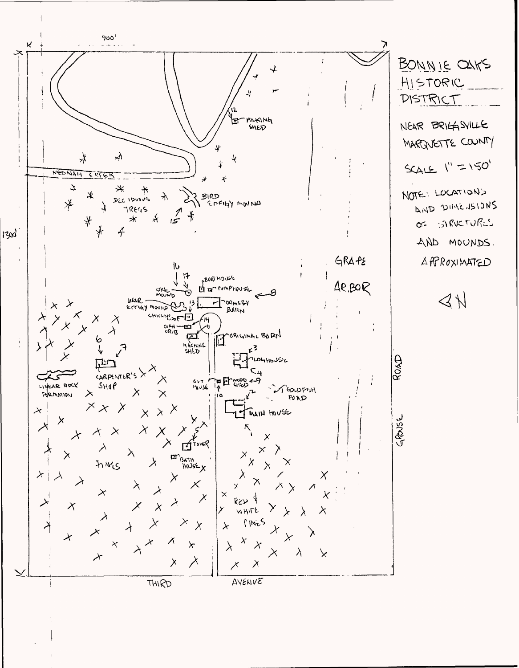